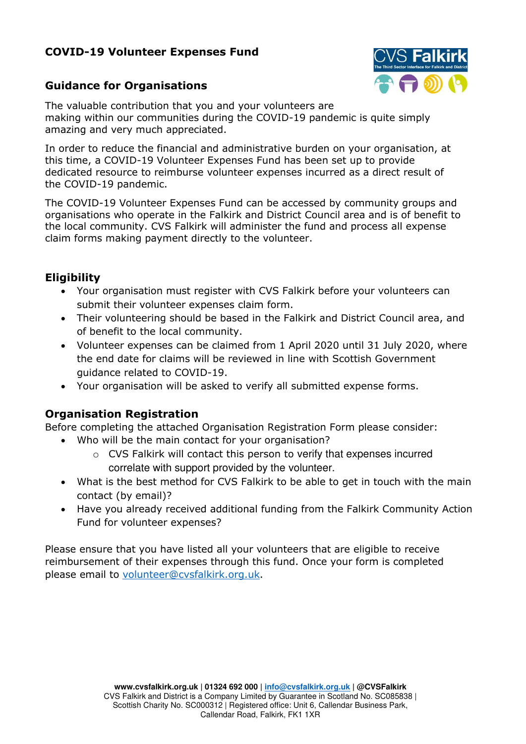# **COVID-19 Volunteer Expenses Fund**



# **Guidance for Organisations**

The valuable contribution that you and your volunteers are making within our communities during the COVID-19 pandemic is quite simply amazing and very much appreciated.

In order to reduce the financial and administrative burden on your organisation, at this time, a COVID-19 Volunteer Expenses Fund has been set up to provide dedicated resource to reimburse volunteer expenses incurred as a direct result of the COVID-19 pandemic.

The COVID-19 Volunteer Expenses Fund can be accessed by community groups and organisations who operate in the Falkirk and District Council area and is of benefit to the local community. CVS Falkirk will administer the fund and process all expense claim forms making payment directly to the volunteer.

## **Eligibility**

- Your organisation must register with CVS Falkirk before your volunteers can submit their volunteer expenses claim form.
- Their volunteering should be based in the Falkirk and District Council area, and of benefit to the local community.
- Volunteer expenses can be claimed from 1 April 2020 until 31 July 2020, where the end date for claims will be reviewed in line with Scottish Government guidance related to COVID-19.
- Your organisation will be asked to verify all submitted expense forms.

## **Organisation Registration**

Before completing the attached Organisation Registration Form please consider:

- Who will be the main contact for your organisation?
	- o CVS Falkirk will contact this person to verify that expenses incurred correlate with support provided by the volunteer.
- What is the best method for CVS Falkirk to be able to get in touch with the main contact (by email)?
- Have you already received additional funding from the Falkirk Community Action Fund for volunteer expenses?

Please ensure that you have listed all your volunteers that are eligible to receive reimbursement of their expenses through this fund. Once your form is completed please email to [volunteer@cvsfalkirk.org.uk.](mailto:volunteer@cvsfalkirk.org.uk)